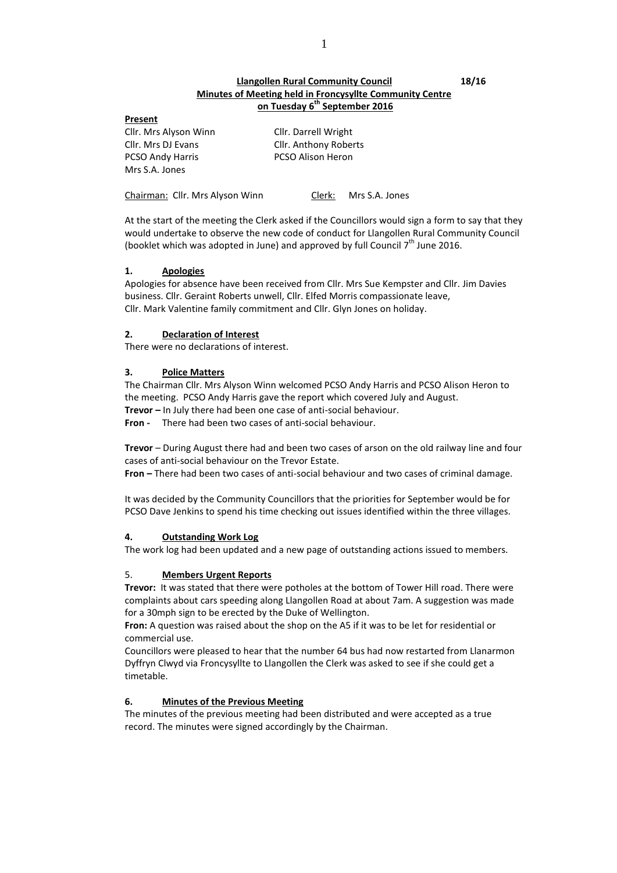## **Llangollen Rural Community Council 18/16 Minutes of Meeting held in Froncysyllte Community Centre on Tuesday 6 th September 2016**

#### **Present**

Cllr. Mrs Alyson Winn Cllr. Darrell Wright Cllr. Mrs DJ Evans Cllr. Anthony Roberts PCSO Andy Harris PCSO Alison Heron Mrs S.A. Jones

Chairman: Cllr. Mrs Alyson Winn Clerk: Mrs S.A. Jones

At the start of the meeting the Clerk asked if the Councillors would sign a form to say that they would undertake to observe the new code of conduct for Llangollen Rural Community Council (booklet which was adopted in June) and approved by full Council  $7<sup>th</sup>$  June 2016.

## **1. Apologies**

Apologies for absence have been received from Cllr. Mrs Sue Kempster and Cllr. Jim Davies business. Cllr. Geraint Roberts unwell, Cllr. Elfed Morris compassionate leave, Cllr. Mark Valentine family commitment and Cllr. Glyn Jones on holiday.

## **2. Declaration of Interest**

There were no declarations of interest.

## **3. Police Matters**

The Chairman Cllr. Mrs Alyson Winn welcomed PCSO Andy Harris and PCSO Alison Heron to the meeting. PCSO Andy Harris gave the report which covered July and August. **Trevor –** In July there had been one case of anti-social behaviour.

**Fron -** There had been two cases of anti-social behaviour.

**Trevor** – During August there had and been two cases of arson on the old railway line and four cases of anti-social behaviour on the Trevor Estate.

**Fron –** There had been two cases of anti-social behaviour and two cases of criminal damage.

It was decided by the Community Councillors that the priorities for September would be for PCSO Dave Jenkins to spend his time checking out issues identified within the three villages.

## **4. Outstanding Work Log**

The work log had been updated and a new page of outstanding actions issued to members.

## 5. **Members Urgent Reports**

**Trevor:** It was stated that there were potholes at the bottom of Tower Hill road. There were complaints about cars speeding along Llangollen Road at about 7am. A suggestion was made for a 30mph sign to be erected by the Duke of Wellington.

**Fron:** A question was raised about the shop on the A5 if it was to be let for residential or commercial use.

Councillors were pleased to hear that the number 64 bus had now restarted from Llanarmon Dyffryn Clwyd via Froncysyllte to Llangollen the Clerk was asked to see if she could get a timetable.

## **6. Minutes of the Previous Meeting**

The minutes of the previous meeting had been distributed and were accepted as a true record. The minutes were signed accordingly by the Chairman.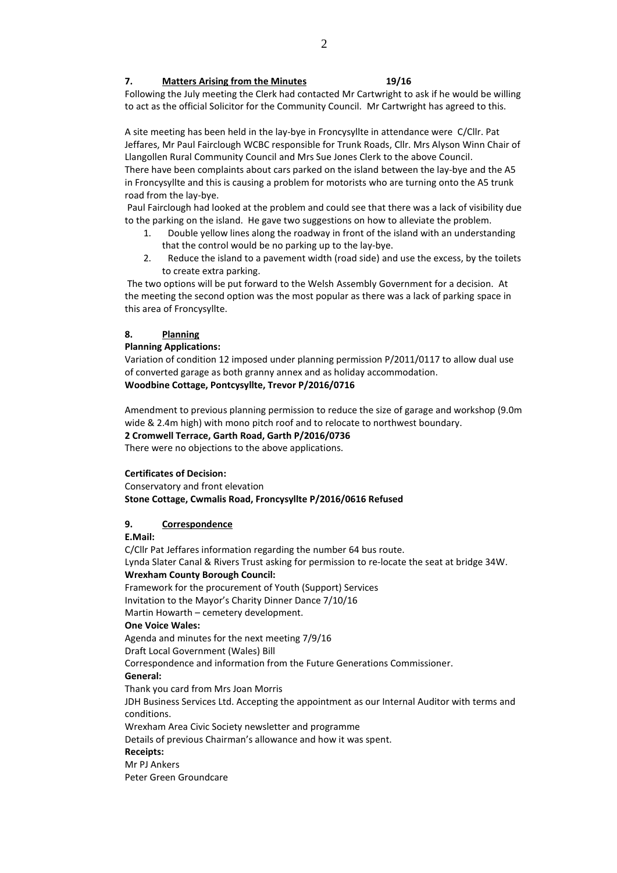## **7. Matters Arising from the Minutes 19/16**

Following the July meeting the Clerk had contacted Mr Cartwright to ask if he would be willing to act as the official Solicitor for the Community Council. Mr Cartwright has agreed to this.

A site meeting has been held in the lay-bye in Froncysyllte in attendance were C/Cllr. Pat Jeffares, Mr Paul Fairclough WCBC responsible for Trunk Roads, Cllr. Mrs Alyson Winn Chair of Llangollen Rural Community Council and Mrs Sue Jones Clerk to the above Council.

There have been complaints about cars parked on the island between the lay-bye and the A5 in Froncysyllte and this is causing a problem for motorists who are turning onto the A5 trunk road from the lay-bye.

Paul Fairclough had looked at the problem and could see that there was a lack of visibility due to the parking on the island. He gave two suggestions on how to alleviate the problem.

- 1. Double yellow lines along the roadway in front of the island with an understanding that the control would be no parking up to the lay-bye.
- 2. Reduce the island to a pavement width (road side) and use the excess, by the toilets to create extra parking.

The two options will be put forward to the Welsh Assembly Government for a decision. At the meeting the second option was the most popular as there was a lack of parking space in this area of Froncysyllte.

# **8. Planning**

## **Planning Applications:**

Variation of condition 12 imposed under planning permission P/2011/0117 to allow dual use of converted garage as both granny annex and as holiday accommodation. **Woodbine Cottage, Pontcysyllte, Trevor P/2016/0716**

Amendment to previous planning permission to reduce the size of garage and workshop (9.0m wide & 2.4m high) with mono pitch roof and to relocate to northwest boundary. **2 Cromwell Terrace, Garth Road, Garth P/2016/0736**

There were no objections to the above applications.

## **Certificates of Decision:**

Conservatory and front elevation **Stone Cottage, Cwmalis Road, Froncysyllte P/2016/0616 Refused**

# **9. Correspondence**

## **E.Mail:**

C/Cllr Pat Jeffares information regarding the number 64 bus route. Lynda Slater Canal & Rivers Trust asking for permission to re-locate the seat at bridge 34W. **Wrexham County Borough Council:** Framework for the procurement of Youth (Support) Services Invitation to the Mayor's Charity Dinner Dance 7/10/16 Martin Howarth – cemetery development. **One Voice Wales:** Agenda and minutes for the next meeting 7/9/16 Draft Local Government (Wales) Bill Correspondence and information from the Future Generations Commissioner. **General:** Thank you card from Mrs Joan Morris JDH Business Services Ltd. Accepting the appointment as our Internal Auditor with terms and conditions. Wrexham Area Civic Society newsletter and programme Details of previous Chairman's allowance and how it was spent. **Receipts:** Mr PJ Ankers Peter Green Groundcare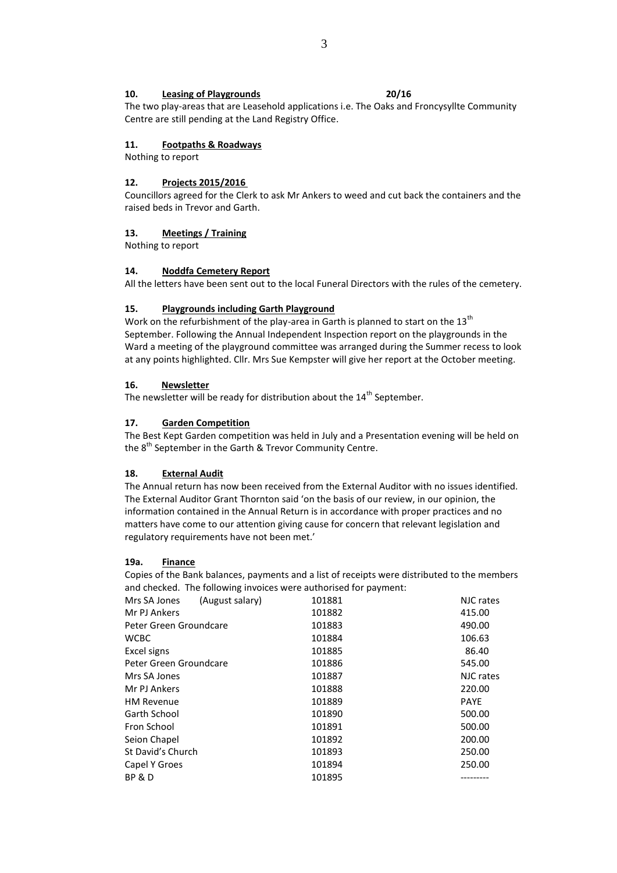## **10. Leasing of Playgrounds 20/16**

The two play-areas that are Leasehold applications i.e. The Oaks and Froncysyllte Community Centre are still pending at the Land Registry Office.

#### **11. Footpaths & Roadways**

Nothing to report

#### **12. Projects 2015/2016**

Councillors agreed for the Clerk to ask Mr Ankers to weed and cut back the containers and the raised beds in Trevor and Garth.

## **13. Meetings / Training**

Nothing to report

## **14. Noddfa Cemetery Report**

All the letters have been sent out to the local Funeral Directors with the rules of the cemetery.

## **15. Playgrounds including Garth Playground**

Work on the refurbishment of the play-area in Garth is planned to start on the  $13<sup>th</sup>$ September. Following the Annual Independent Inspection report on the playgrounds in the Ward a meeting of the playground committee was arranged during the Summer recess to look at any points highlighted. Cllr. Mrs Sue Kempster will give her report at the October meeting.

#### **16. Newsletter**

The newsletter will be ready for distribution about the  $14<sup>th</sup>$  September.

## **17. Garden Competition**

The Best Kept Garden competition was held in July and a Presentation evening will be held on the  $8<sup>th</sup>$  September in the Garth & Trevor Community Centre.

#### **18. External Audit**

The Annual return has now been received from the External Auditor with no issues identified. The External Auditor Grant Thornton said 'on the basis of our review, in our opinion, the information contained in the Annual Return is in accordance with proper practices and no matters have come to our attention giving cause for concern that relevant legislation and regulatory requirements have not been met.'

## **19a. Finance**

Copies of the Bank balances, payments and a list of receipts were distributed to the members and checked. The following invoices were authorised for payment:

| (August salary)<br>Mrs SA Jones | 101881 | NJC rates   |
|---------------------------------|--------|-------------|
| Mr PJ Ankers                    | 101882 | 415.00      |
| Peter Green Groundcare          | 101883 | 490.00      |
| <b>WCBC</b>                     | 101884 | 106.63      |
| Excel signs                     | 101885 | 86.40       |
| Peter Green Groundcare          | 101886 | 545.00      |
| Mrs SA Jones                    | 101887 | NJC rates   |
| Mr PJ Ankers                    | 101888 | 220.00      |
| <b>HM Revenue</b>               | 101889 | <b>PAYE</b> |
| Garth School                    | 101890 | 500.00      |
| Fron School                     | 101891 | 500.00      |
| Seion Chapel                    | 101892 | 200.00      |
| St David's Church               | 101893 | 250.00      |
| Capel Y Groes                   | 101894 | 250.00      |
| BP & D                          | 101895 |             |